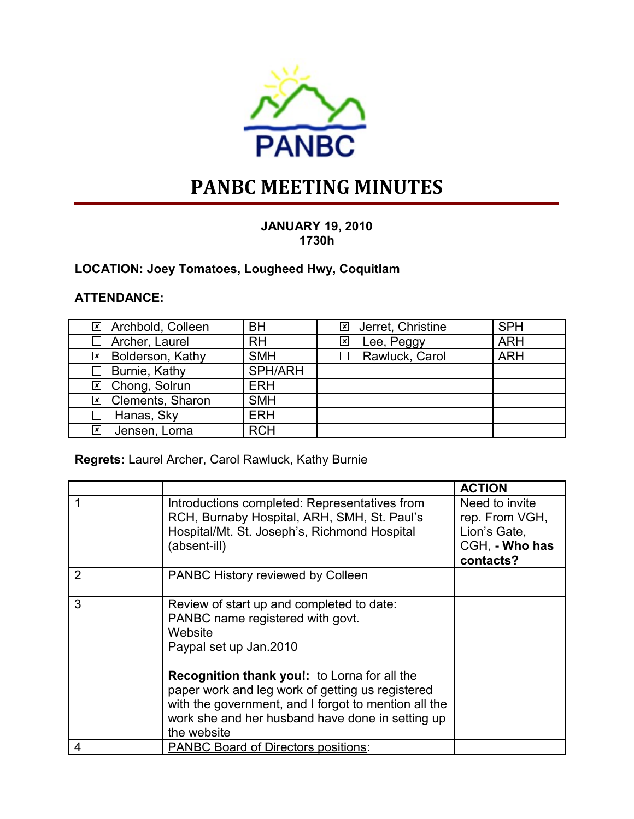

# **PANBC MEETING MINUTES**

#### **JANUARY 19, 2010 1730h**

## **LOCATION: Joey Tomatoes, Lougheed Hwy, Coquitlam**

### **ATTENDANCE:**

| <b>⊠</b> Archbold, Colleen | <b>BH</b>  | ⊠ Jerret, Christine | <b>SPH</b> |
|----------------------------|------------|---------------------|------------|
| Archer, Laurel<br>$\perp$  | <b>RH</b>  | Lee, Peggy<br>×     | <b>ARH</b> |
| <b>区 Bolderson, Kathy</b>  | <b>SMH</b> | Rawluck, Carol      | <b>ARH</b> |
| $\Box$ Burnie, Kathy       | SPH/ARH    |                     |            |
| ⊠ Chong, Solrun            | <b>ERH</b> |                     |            |
| ⊠ Clements, Sharon         | <b>SMH</b> |                     |            |
| Hanas, Sky<br>$\perp$      | <b>ERH</b> |                     |            |
| Jensen, Lorna<br>⊠         | <b>RCH</b> |                     |            |

## **Regrets:** Laurel Archer, Carol Rawluck, Kathy Burnie

|                |                                                                                                                                                                                                                                                                                                                                                          | <b>ACTION</b>                                                                   |
|----------------|----------------------------------------------------------------------------------------------------------------------------------------------------------------------------------------------------------------------------------------------------------------------------------------------------------------------------------------------------------|---------------------------------------------------------------------------------|
|                | Introductions completed: Representatives from<br>RCH, Burnaby Hospital, ARH, SMH, St. Paul's<br>Hospital/Mt. St. Joseph's, Richmond Hospital<br>(absent-ill)                                                                                                                                                                                             | Need to invite<br>rep. From VGH,<br>Lion's Gate,<br>CGH, - Who has<br>contacts? |
| $\overline{2}$ | PANBC History reviewed by Colleen                                                                                                                                                                                                                                                                                                                        |                                                                                 |
| 3              | Review of start up and completed to date:<br>PANBC name registered with govt.<br>Website<br>Paypal set up Jan.2010<br><b>Recognition thank you!:</b> to Lorna for all the<br>paper work and leg work of getting us registered<br>with the government, and I forgot to mention all the<br>work she and her husband have done in setting up<br>the website |                                                                                 |
| 4              | <b>PANBC Board of Directors positions:</b>                                                                                                                                                                                                                                                                                                               |                                                                                 |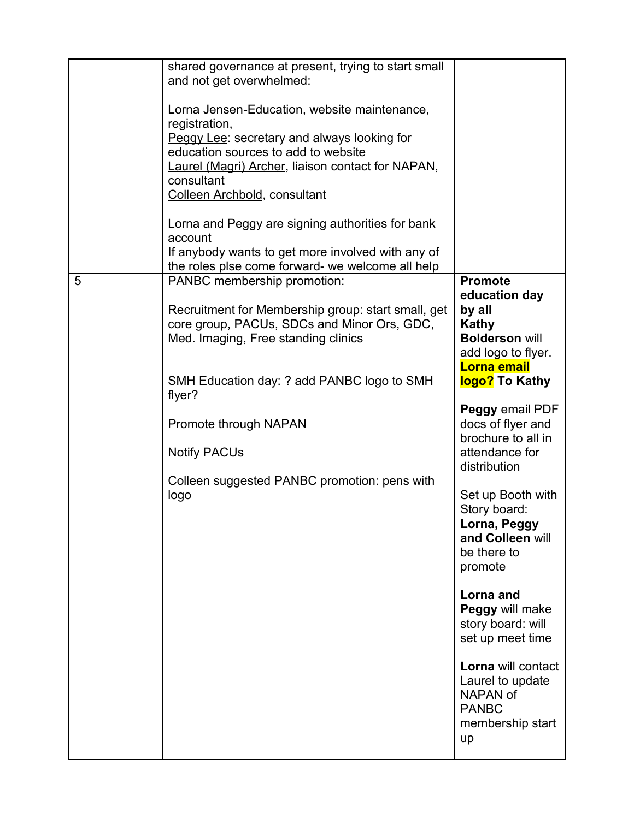|   | shared governance at present, trying to start small<br>and not get overwhelmed:<br>Lorna Jensen-Education, website maintenance,<br>registration,<br>Peggy Lee: secretary and always looking for<br>education sources to add to website<br><b>Laurel (Magri) Archer, liaison contact for NAPAN,</b><br>consultant<br>Colleen Archbold, consultant<br>Lorna and Peggy are signing authorities for bank<br>account<br>If anybody wants to get more involved with any of<br>the roles plse come forward- we welcome all help |                                                                                                                                                                                                                                                                                                                                                                                                                                                                                                                |
|---|--------------------------------------------------------------------------------------------------------------------------------------------------------------------------------------------------------------------------------------------------------------------------------------------------------------------------------------------------------------------------------------------------------------------------------------------------------------------------------------------------------------------------|----------------------------------------------------------------------------------------------------------------------------------------------------------------------------------------------------------------------------------------------------------------------------------------------------------------------------------------------------------------------------------------------------------------------------------------------------------------------------------------------------------------|
| 5 | PANBC membership promotion:<br>Recruitment for Membership group: start small, get<br>core group, PACUs, SDCs and Minor Ors, GDC,<br>Med. Imaging, Free standing clinics<br>SMH Education day: ? add PANBC logo to SMH<br>flyer?<br>Promote through NAPAN<br><b>Notify PACUs</b><br>Colleen suggested PANBC promotion: pens with<br>logo                                                                                                                                                                                  | <b>Promote</b><br>education day<br>by all<br>Kathy<br><b>Bolderson will</b><br>add logo to flyer.<br>Lorna email<br>logo? To Kathy<br>Peggy email PDF<br>docs of flyer and<br>brochure to all in<br>attendance for<br>distribution<br>Set up Booth with<br>Story board:<br>Lorna, Peggy<br>and Colleen will<br>be there to<br>promote<br>Lorna and<br>Peggy will make<br>story board: will<br>set up meet time<br>Lorna will contact<br>Laurel to update<br>NAPAN of<br><b>PANBC</b><br>membership start<br>up |